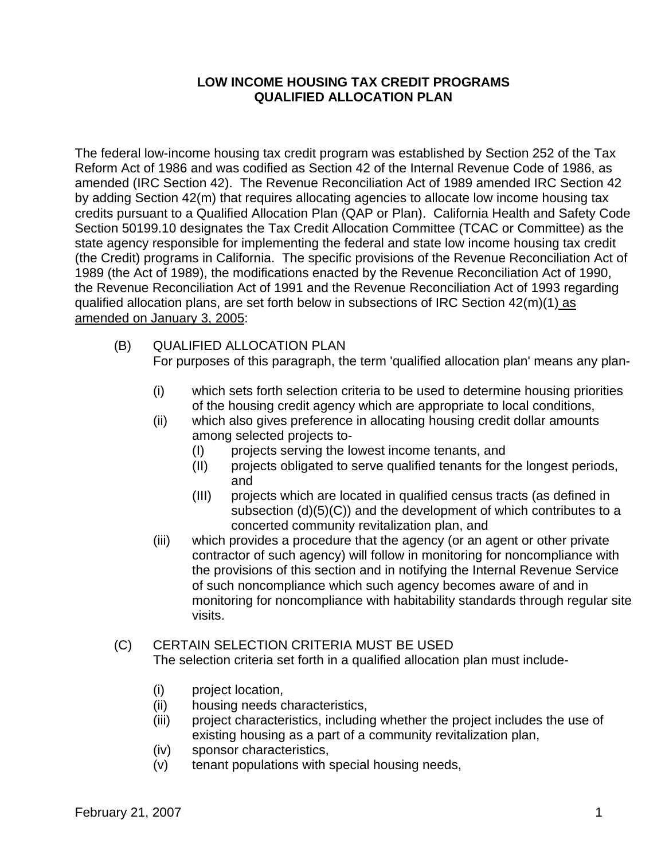### **LOW INCOME HOUSING TAX CREDIT PROGRAMS QUALIFIED ALLOCATION PLAN**

The federal low-income housing tax credit program was established by Section 252 of the Tax Reform Act of 1986 and was codified as Section 42 of the Internal Revenue Code of 1986, as amended (IRC Section 42). The Revenue Reconciliation Act of 1989 amended IRC Section 42 by adding Section 42(m) that requires allocating agencies to allocate low income housing tax credits pursuant to a Qualified Allocation Plan (QAP or Plan). California Health and Safety Code Section 50199.10 designates the Tax Credit Allocation Committee (TCAC or Committee) as the state agency responsible for implementing the federal and state low income housing tax credit (the Credit) programs in California. The specific provisions of the Revenue Reconciliation Act of 1989 (the Act of 1989), the modifications enacted by the Revenue Reconciliation Act of 1990, the Revenue Reconciliation Act of 1991 and the Revenue Reconciliation Act of 1993 regarding qualified allocation plans, are set forth below in subsections of IRC Section 42(m)(1) as amended on January 3, 2005:

- (B) QUALIFIED ALLOCATION PLAN For purposes of this paragraph, the term 'qualified allocation plan' means any plan-
	- (i) which sets forth selection criteria to be used to determine housing priorities of the housing credit agency which are appropriate to local conditions,
	- (ii) which also gives preference in allocating housing credit dollar amounts among selected projects to-
		- (I) projects serving the lowest income tenants, and
		- (II) projects obligated to serve qualified tenants for the longest periods, and
		- (III) projects which are located in qualified census tracts (as defined in subsection (d)(5)(C)) and the development of which contributes to a concerted community revitalization plan, and
	- (iii) which provides a procedure that the agency (or an agent or other private contractor of such agency) will follow in monitoring for noncompliance with the provisions of this section and in notifying the Internal Revenue Service of such noncompliance which such agency becomes aware of and in monitoring for noncompliance with habitability standards through regular site visits.

#### (C) CERTAIN SELECTION CRITERIA MUST BE USED The selection criteria set forth in a qualified allocation plan must include-

- (i) project location,
- (ii) housing needs characteristics,
- (iii) project characteristics, including whether the project includes the use of existing housing as a part of a community revitalization plan,
- (iv) sponsor characteristics,
- (v) tenant populations with special housing needs,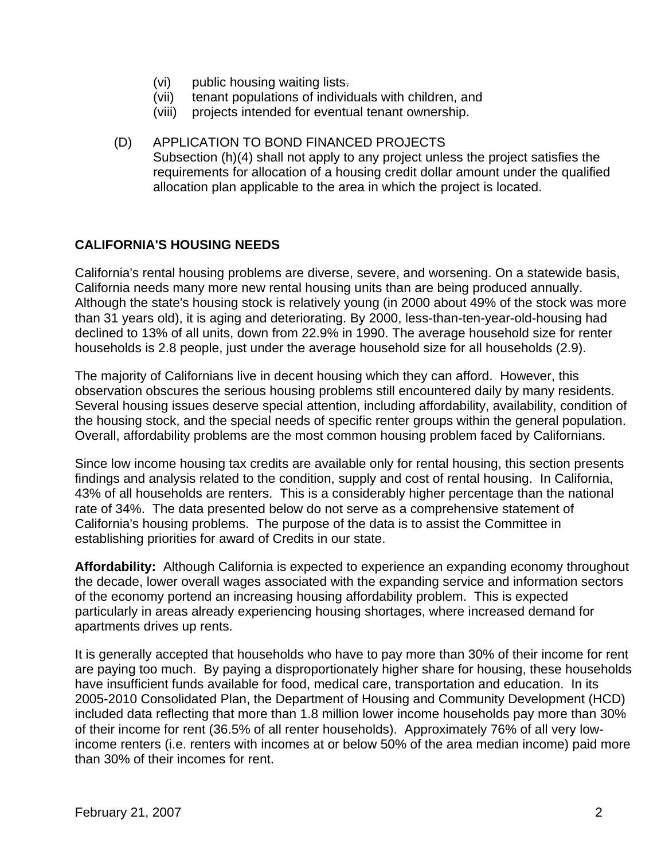- (vi) public housing waiting lists.
- (vii) tenant populations of individuals with children, and
- (viii) projects intended for eventual tenant ownership.
- (D) APPLICATION TO BOND FINANCED PROJECTS Subsection (h)(4) shall not apply to any project unless the project satisfies the requirements for allocation of a housing credit dollar amount under the qualified allocation plan applicable to the area in which the project is located.

### **CALIFORNIA'S HOUSING NEEDS**

California's rental housing problems are diverse, severe, and worsening. On a statewide basis, California needs many more new rental housing units than are being produced annually. Although the state's housing stock is relatively young (in 2000 about 49% of the stock was more than 31 years old), it is aging and deteriorating. By 2000, less-than-ten-year-old-housing had declined to 13% of all units, down from 22.9% in 1990. The average household size for renter households is 2.8 people, just under the average household size for all households (2.9).

The majority of Californians live in decent housing which they can afford. However, this observation obscures the serious housing problems still encountered daily by many residents. Several housing issues deserve special attention, including affordability, availability, condition of the housing stock, and the special needs of specific renter groups within the general population. Overall, affordability problems are the most common housing problem faced by Californians.

Since low income housing tax credits are available only for rental housing, this section presents findings and analysis related to the condition, supply and cost of rental housing. In California, 43% of all households are renters. This is a considerably higher percentage than the national rate of 34%. The data presented below do not serve as a comprehensive statement of California's housing problems. The purpose of the data is to assist the Committee in establishing priorities for award of Credits in our state.

**Affordability:** Although California is expected to experience an expanding economy throughout the decade, lower overall wages associated with the expanding service and information sectors of the economy portend an increasing housing affordability problem. This is expected particularly in areas already experiencing housing shortages, where increased demand for apartments drives up rents.

It is generally accepted that households who have to pay more than 30% of their income for rent are paying too much. By paying a disproportionately higher share for housing, these households have insufficient funds available for food, medical care, transportation and education. In its 2005-2010 Consolidated Plan, the Department of Housing and Community Development (HCD) included data reflecting that more than 1.8 million lower income households pay more than 30% of their income for rent (36.5% of all renter households). Approximately 76% of all very lowincome renters (i.e. renters with incomes at or below 50% of the area median income) paid more than 30% of their incomes for rent.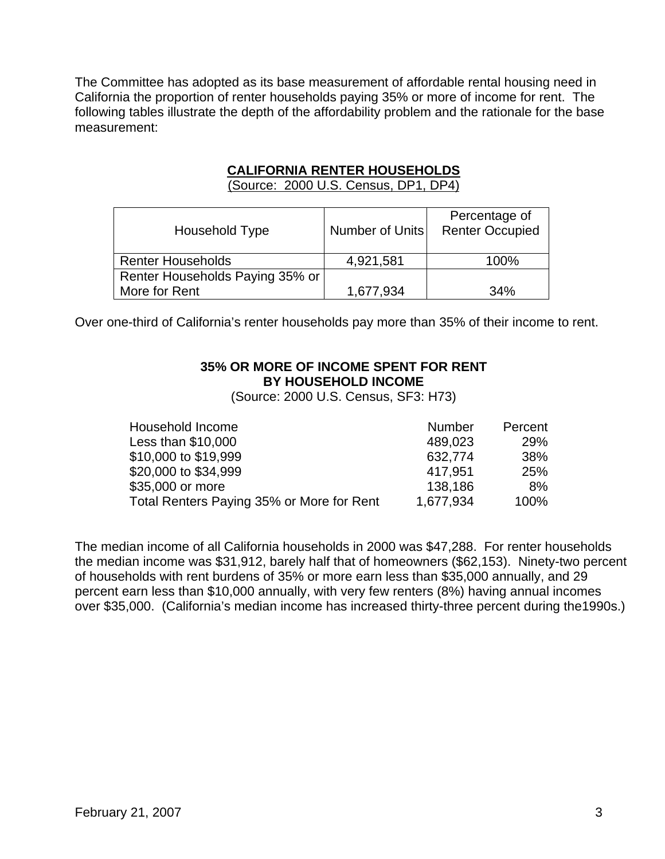The Committee has adopted as its base measurement of affordable rental housing need in California the proportion of renter households paying 35% or more of income for rent. The following tables illustrate the depth of the affordability problem and the rationale for the base measurement:

### **CALIFORNIA RENTER HOUSEHOLDS**

(Source: 2000 U.S. Census, DP1, DP4)

| Household Type                  | Number of Units | Percentage of<br><b>Renter Occupied</b> |
|---------------------------------|-----------------|-----------------------------------------|
| <b>Renter Households</b>        | 4,921,581       | 100%                                    |
| Renter Households Paying 35% or |                 |                                         |
| More for Rent                   | 1,677,934       | 34%                                     |

Over one-third of California's renter households pay more than 35% of their income to rent.

### **35% OR MORE OF INCOME SPENT FOR RENT BY HOUSEHOLD INCOME**

(Source: 2000 U.S. Census, SF3: H73)

| Household Income                          | <b>Number</b> | Percent    |
|-------------------------------------------|---------------|------------|
| Less than \$10,000                        | 489,023       | <b>29%</b> |
| \$10,000 to \$19,999                      | 632,774       | 38%        |
| \$20,000 to \$34,999                      | 417.951       | 25%        |
| \$35,000 or more                          | 138.186       | 8%         |
| Total Renters Paying 35% or More for Rent | 1,677,934     | 100%       |

The median income of all California households in 2000 was \$47,288. For renter households the median income was \$31,912, barely half that of homeowners (\$62,153). Ninety-two percent of households with rent burdens of 35% or more earn less than \$35,000 annually, and 29 percent earn less than \$10,000 annually, with very few renters (8%) having annual incomes over \$35,000. (California's median income has increased thirty-three percent during the1990s.)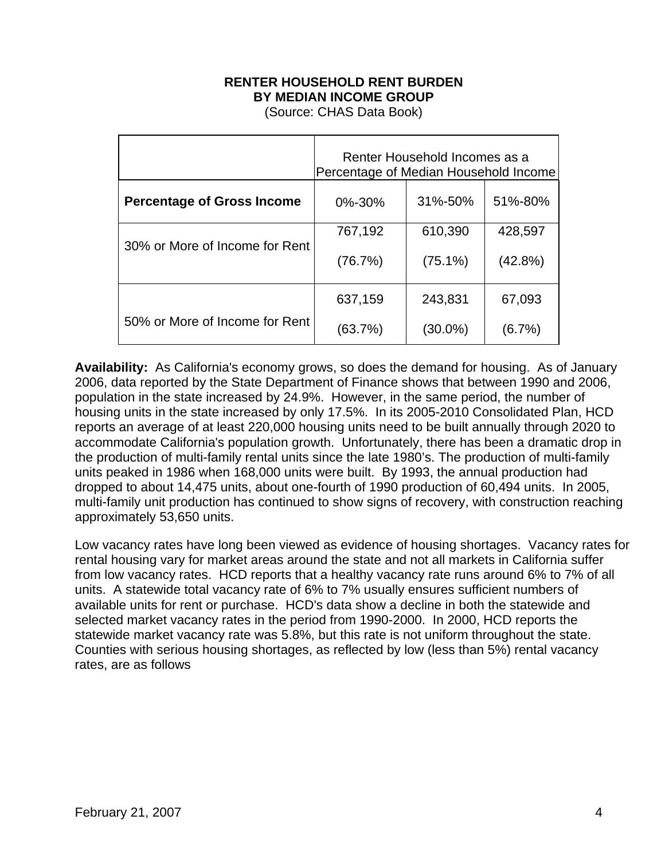## **RENTER HOUSEHOLD RENT BURDEN BY MEDIAN INCOME GROUP**

(Source: CHAS Data Book)

|                                   | Renter Household Incomes as a<br>Percentage of Median Household Income |            |           |
|-----------------------------------|------------------------------------------------------------------------|------------|-----------|
| <b>Percentage of Gross Income</b> | 0%-30%                                                                 | 31%-50%    | 51%-80%   |
|                                   | 767,192                                                                | 610,390    | 428,597   |
| 30% or More of Income for Rent    | (76.7%)                                                                | $(75.1\%)$ | (42.8%)   |
|                                   | 637,159                                                                | 243,831    | 67,093    |
| 50% or More of Income for Rent    | (63.7%)                                                                | $(30.0\%)$ | $(6.7\%)$ |

**Availability:** As California's economy grows, so does the demand for housing. As of January 2006, data reported by the State Department of Finance shows that between 1990 and 2006, population in the state increased by 24.9%. However, in the same period, the number of housing units in the state increased by only 17.5%. In its 2005-2010 Consolidated Plan, HCD reports an average of at least 220,000 housing units need to be built annually through 2020 to accommodate California's population growth. Unfortunately, there has been a dramatic drop in the production of multi-family rental units since the late 1980's. The production of multi-family units peaked in 1986 when 168,000 units were built. By 1993, the annual production had dropped to about 14,475 units, about one-fourth of 1990 production of 60,494 units. In 2005, multi-family unit production has continued to show signs of recovery, with construction reaching approximately 53,650 units.

Low vacancy rates have long been viewed as evidence of housing shortages. Vacancy rates for rental housing vary for market areas around the state and not all markets in California suffer from low vacancy rates. HCD reports that a healthy vacancy rate runs around 6% to 7% of all units. A statewide total vacancy rate of 6% to 7% usually ensures sufficient numbers of available units for rent or purchase. HCD's data show a decline in both the statewide and selected market vacancy rates in the period from 1990-2000. In 2000, HCD reports the statewide market vacancy rate was 5.8%, but this rate is not uniform throughout the state. Counties with serious housing shortages, as reflected by low (less than 5%) rental vacancy rates, are as follows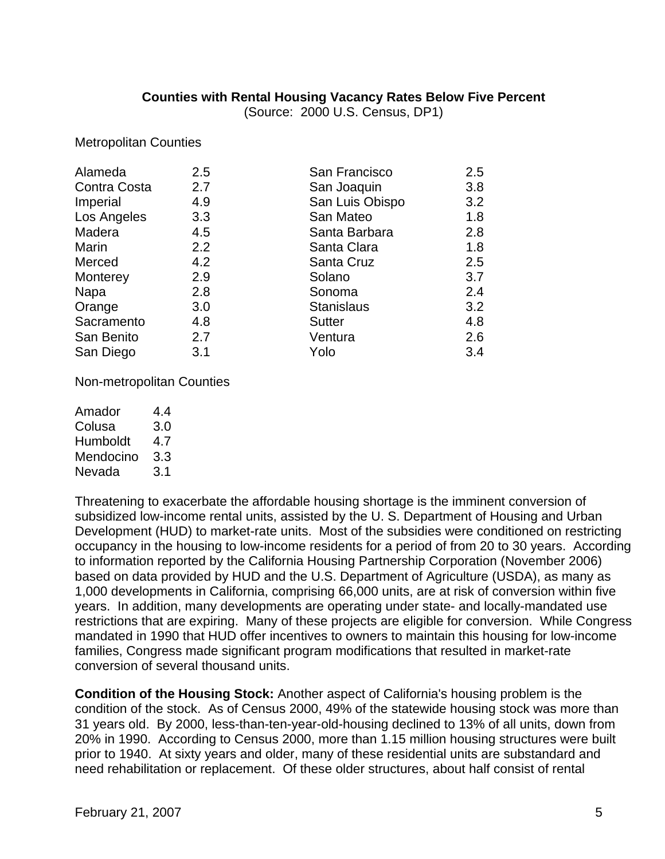#### **Counties with Rental Housing Vacancy Rates Below Five Percent**

(Source: 2000 U.S. Census, DP1)

Metropolitan Counties

| Alameda      | 2.5 | San Francisco     | 2.5 |
|--------------|-----|-------------------|-----|
| Contra Costa | 2.7 | San Joaquin       | 3.8 |
| Imperial     | 4.9 | San Luis Obispo   | 3.2 |
| Los Angeles  | 3.3 | San Mateo         | 1.8 |
| Madera       | 4.5 | Santa Barbara     | 2.8 |
| Marin        | 2.2 | Santa Clara       | 1.8 |
| Merced       | 4.2 | Santa Cruz        | 2.5 |
| Monterey     | 2.9 | Solano            | 3.7 |
| Napa         | 2.8 | Sonoma            | 2.4 |
| Orange       | 3.0 | <b>Stanislaus</b> | 3.2 |
| Sacramento   | 4.8 | <b>Sutter</b>     | 4.8 |
| San Benito   | 2.7 | Ventura           | 2.6 |
| San Diego    | 3.1 | Yolo              | 3.4 |
|              |     |                   |     |

Non-metropolitan Counties

| 44  |
|-----|
| 3.0 |
| 4.7 |
| 3.3 |
| 3.1 |
|     |

Threatening to exacerbate the affordable housing shortage is the imminent conversion of subsidized low-income rental units, assisted by the U. S. Department of Housing and Urban Development (HUD) to market-rate units. Most of the subsidies were conditioned on restricting occupancy in the housing to low-income residents for a period of from 20 to 30 years. According to information reported by the California Housing Partnership Corporation (November 2006) based on data provided by HUD and the U.S. Department of Agriculture (USDA), as many as 1,000 developments in California, comprising 66,000 units, are at risk of conversion within five years. In addition, many developments are operating under state- and locally-mandated use restrictions that are expiring. Many of these projects are eligible for conversion. While Congress mandated in 1990 that HUD offer incentives to owners to maintain this housing for low-income families, Congress made significant program modifications that resulted in market-rate conversion of several thousand units.

**Condition of the Housing Stock:** Another aspect of California's housing problem is the condition of the stock. As of Census 2000, 49% of the statewide housing stock was more than 31 years old. By 2000, less-than-ten-year-old-housing declined to 13% of all units, down from 20% in 1990. According to Census 2000, more than 1.15 million housing structures were built prior to 1940. At sixty years and older, many of these residential units are substandard and need rehabilitation or replacement. Of these older structures, about half consist of rental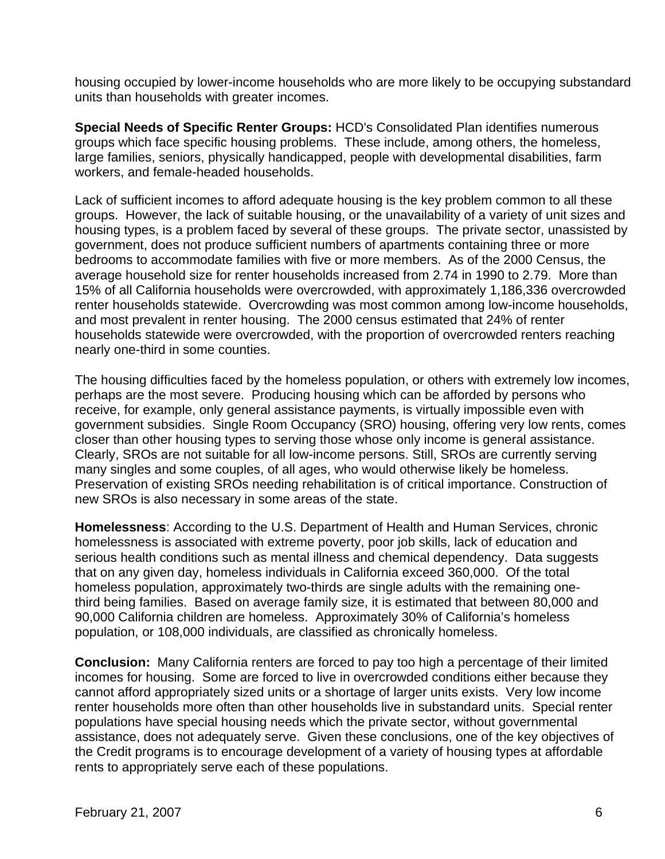housing occupied by lower-income households who are more likely to be occupying substandard units than households with greater incomes.

**Special Needs of Specific Renter Groups:** HCD's Consolidated Plan identifies numerous groups which face specific housing problems. These include, among others, the homeless, large families, seniors, physically handicapped, people with developmental disabilities, farm workers, and female-headed households.

Lack of sufficient incomes to afford adequate housing is the key problem common to all these groups. However, the lack of suitable housing, or the unavailability of a variety of unit sizes and housing types, is a problem faced by several of these groups. The private sector, unassisted by government, does not produce sufficient numbers of apartments containing three or more bedrooms to accommodate families with five or more members. As of the 2000 Census, the average household size for renter households increased from 2.74 in 1990 to 2.79. More than 15% of all California households were overcrowded, with approximately 1,186,336 overcrowded renter households statewide. Overcrowding was most common among low-income households, and most prevalent in renter housing. The 2000 census estimated that 24% of renter households statewide were overcrowded, with the proportion of overcrowded renters reaching nearly one-third in some counties.

The housing difficulties faced by the homeless population, or others with extremely low incomes, perhaps are the most severe. Producing housing which can be afforded by persons who receive, for example, only general assistance payments, is virtually impossible even with government subsidies. Single Room Occupancy (SRO) housing, offering very low rents, comes closer than other housing types to serving those whose only income is general assistance. Clearly, SROs are not suitable for all low-income persons. Still, SROs are currently serving many singles and some couples, of all ages, who would otherwise likely be homeless. Preservation of existing SROs needing rehabilitation is of critical importance. Construction of new SROs is also necessary in some areas of the state.

**Homelessness**: According to the U.S. Department of Health and Human Services, chronic homelessness is associated with extreme poverty, poor job skills, lack of education and serious health conditions such as mental illness and chemical dependency. Data suggests that on any given day, homeless individuals in California exceed 360,000. Of the total homeless population, approximately two-thirds are single adults with the remaining onethird being families. Based on average family size, it is estimated that between 80,000 and 90,000 California children are homeless. Approximately 30% of California's homeless population, or 108,000 individuals, are classified as chronically homeless.

**Conclusion:** Many California renters are forced to pay too high a percentage of their limited incomes for housing. Some are forced to live in overcrowded conditions either because they cannot afford appropriately sized units or a shortage of larger units exists. Very low income renter households more often than other households live in substandard units. Special renter populations have special housing needs which the private sector, without governmental assistance, does not adequately serve. Given these conclusions, one of the key objectives of the Credit programs is to encourage development of a variety of housing types at affordable rents to appropriately serve each of these populations.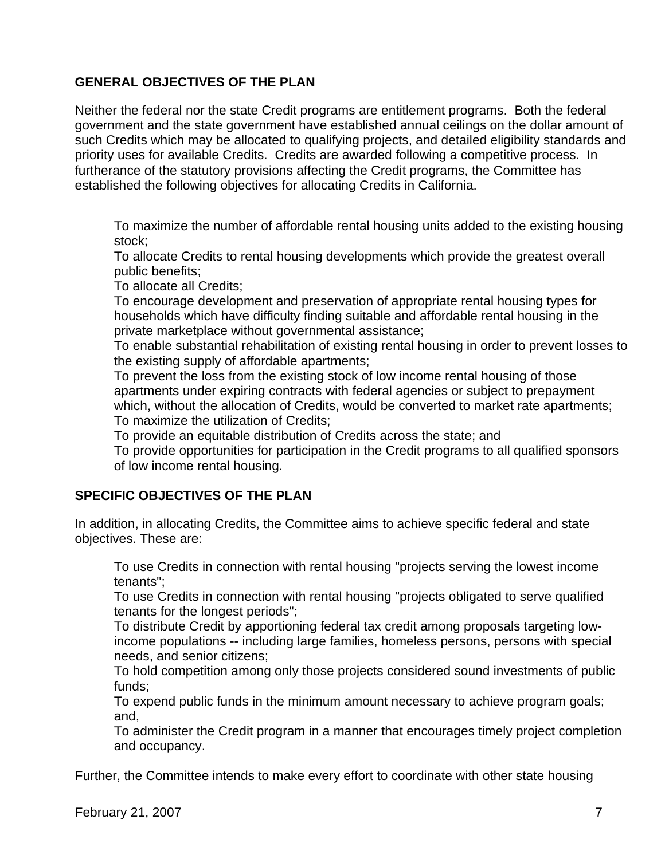# **GENERAL OBJECTIVES OF THE PLAN**

Neither the federal nor the state Credit programs are entitlement programs. Both the federal government and the state government have established annual ceilings on the dollar amount of such Credits which may be allocated to qualifying projects, and detailed eligibility standards and priority uses for available Credits. Credits are awarded following a competitive process. In furtherance of the statutory provisions affecting the Credit programs, the Committee has established the following objectives for allocating Credits in California.

 To maximize the number of affordable rental housing units added to the existing housing stock;

 To allocate Credits to rental housing developments which provide the greatest overall public benefits;

To allocate all Credits;

 To encourage development and preservation of appropriate rental housing types for households which have difficulty finding suitable and affordable rental housing in the private marketplace without governmental assistance;

 To enable substantial rehabilitation of existing rental housing in order to prevent losses to the existing supply of affordable apartments;

 To prevent the loss from the existing stock of low income rental housing of those apartments under expiring contracts with federal agencies or subject to prepayment which, without the allocation of Credits, would be converted to market rate apartments; To maximize the utilization of Credits;

To provide an equitable distribution of Credits across the state; and

 To provide opportunities for participation in the Credit programs to all qualified sponsors of low income rental housing.

## **SPECIFIC OBJECTIVES OF THE PLAN**

In addition, in allocating Credits, the Committee aims to achieve specific federal and state objectives. These are:

 To use Credits in connection with rental housing "projects serving the lowest income tenants";

 To use Credits in connection with rental housing "projects obligated to serve qualified tenants for the longest periods";

 To distribute Credit by apportioning federal tax credit among proposals targeting lowincome populations -- including large families, homeless persons, persons with special needs, and senior citizens;

 To hold competition among only those projects considered sound investments of public funds;

 To expend public funds in the minimum amount necessary to achieve program goals; and,

 To administer the Credit program in a manner that encourages timely project completion and occupancy.

Further, the Committee intends to make every effort to coordinate with other state housing